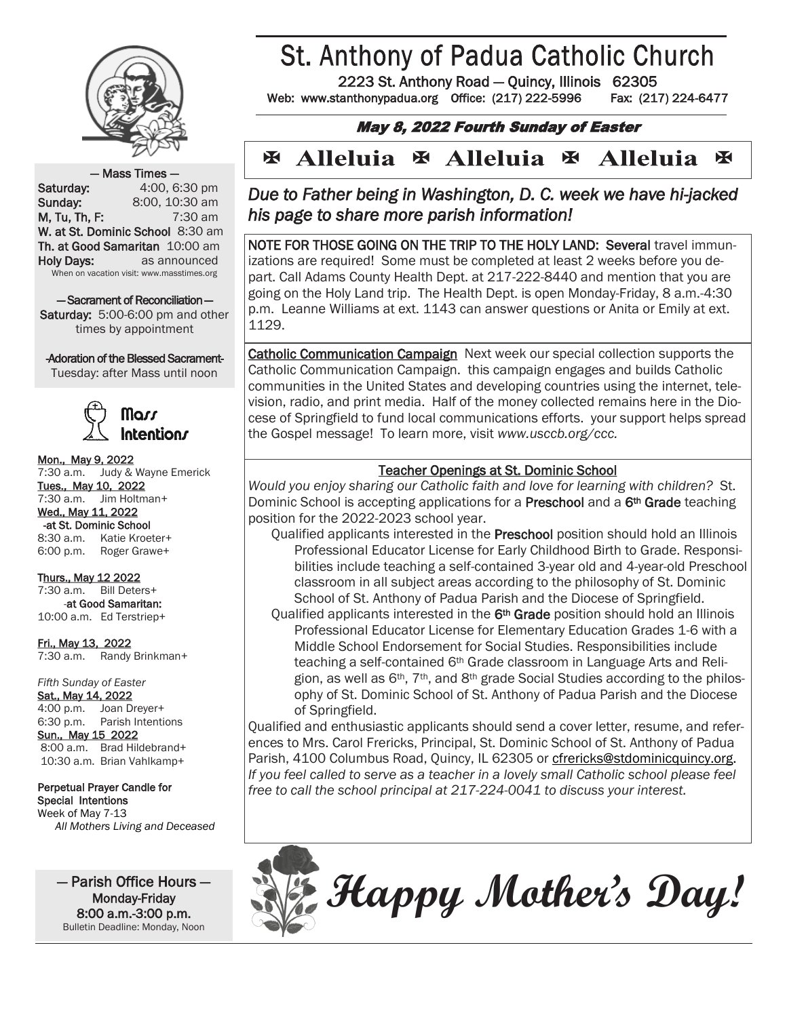

# **St. Anthony of Padua Catholic Church**

2223 St. Anthony Road — Quincy, Illinois 62305

Web: www.stanthonypadua.org Office: (217) 222-5996 Fax: (217) 224-6477

### May 8, 2022 Fourth Sunday of Easter

#### **Alleluia Alleluia E** Alleluia  $\overline{\mathbf{X}}$  $\mathbf x$ K

#### — Mass Times —

**Saturday:** 4:00, 6:30 pm **Sunday:** 8:00, 10:30 am M, Tu, Th, F: 7:30 am W. at St. Dominic School 8:30 am Th. at Good Samaritan 10:00 am Holy Days: as announced When on vacation visit: www.masstimes.org

— Sacrament of Reconciliation — Saturday: 5:00-6:00 pm and other times by appointment

-Adoration of the Blessed Sacrament-

Tuesday: after Mass until noon



Mon., May 9, 2022 7:30 a.m. Judy & Wayne Emerick Tues., May 10, 2022 7:30 a.m. Jim Holtman+ Wed., May 11, 2022 -at St. Dominic School 8:30 a.m. Katie Kroeter+ 6:00 p.m. Roger Grawe+

Thurs., May 12 2022 7:30 a.m. Bill Deters+ -at Good Samaritan: 10:00 a.m. Ed Terstriep+

Fri., May 13, 2022 7:30 a.m. Randy Brinkman+

*Fifth Sunday of Easter* Sat., May 14, 2022 4:00 p.m. Joan Dreyer+ 6:30 p.m. Parish Intentions Sun., May 15 2022 8:00 a.m. Brad Hildebrand+ 10:30 a.m. Brian Vahlkamp+

#### Perpetual Prayer Candle for Special Intentions Week of May 7-13

*All Mothers Living and Deceased*

— Parish Office Hours — Monday-Friday 8:00 a.m.-3:00 p.m. Bulletin Deadline: Monday, Noon

*Due to Father being in Washington, D. C. week we have hi-jacked his page to share more parish information!* 

NOTE FOR THOSE GOING ON THE TRIP TO THE HOLY LAND: Several travel immunizations are required! Some must be completed at least 2 weeks before you depart. Call Adams County Health Dept. at 217-222-8440 and mention that you are going on the Holy Land trip. The Health Dept. is open Monday-Friday, 8 a.m.-4:30 p.m. Leanne Williams at ext. 1143 can answer questions or Anita or Emily at ext. 1129.

Catholic Communication Campaign Next week our special collection supports the Catholic Communication Campaign. this campaign engages and builds Catholic communities in the United States and developing countries using the internet, television, radio, and print media. Half of the money collected remains here in the Diocese of Springfield to fund local communications efforts. your support helps spread the Gospel message! To learn more, visit *www.usccb.org/ccc.*

#### Teacher Openings at St. Dominic School

*Would you enjoy sharing our Catholic faith and love for learning with children?* St. Dominic School is accepting applications for a **Preschool** and a 6<sup>th</sup> Grade teaching position for the 2022-2023 school year.

- Qualified applicants interested in the Preschool position should hold an Illinois Professional Educator License for Early Childhood Birth to Grade. Responsibilities include teaching a self-contained 3-year old and 4-year-old Preschool classroom in all subject areas according to the philosophy of St. Dominic School of St. Anthony of Padua Parish and the Diocese of Springfield.
- Qualified applicants interested in the 6<sup>th</sup> Grade position should hold an Illinois Professional Educator License for Elementary Education Grades 1-6 with a Middle School Endorsement for Social Studies. Responsibilities include teaching a self-contained 6th Grade classroom in Language Arts and Religion, as well as  $6<sup>th</sup>$ ,  $7<sup>th</sup>$ , and  $8<sup>th</sup>$  grade Social Studies according to the philosophy of St. Dominic School of St. Anthony of Padua Parish and the Diocese of Springfield.

Qualified and enthusiastic applicants should send a cover letter, resume, and references to Mrs. Carol Frericks, Principal, St. Dominic School of St. Anthony of Padua Parish, 4100 Columbus Road, Quincy, IL 62305 or [cfrericks@stdominicquincy.org.](mailto:cfrericks@stdominicquincy.org) *If you feel called to serve as a teacher in a lovely small Catholic school please feel free to call the school principal at 217-224-0041 to discuss your interest.*



**Happy Mother's Day!**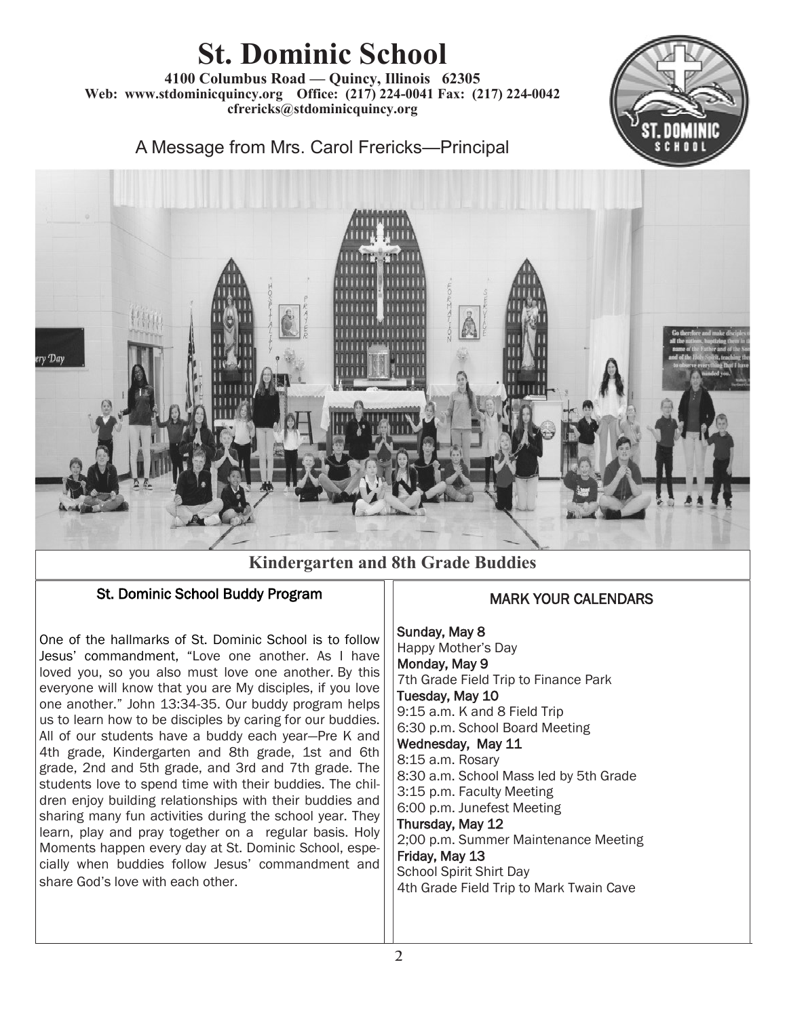# **St. Dominic School**

**4100 Columbus Road — Quincy, Illinois 62305 Web: www.stdominicquincy.org Office: (217) 224-0041 Fax: (217) 224-0042 cfrericks@stdominicquincy.org**



A Message from Mrs. Carol Frericks—Principal



## **Kindergarten and 8th Grade Buddies**

### St. Dominic School Buddy Program

One of the hallmarks of St. Dominic School is to follow Jesus' commandment, "Love one another. As I have loved you, so you also must love one another. By this everyone will know that you are My disciples, if you love one another." John 13:34-35. Our buddy program helps us to learn how to be disciples by caring for our buddies. All of our students have a buddy each year—Pre K and 4th grade, Kindergarten and 8th grade, 1st and 6th grade, 2nd and 5th grade, and 3rd and 7th grade. The students love to spend time with their buddies. The children enjoy building relationships with their buddies and sharing many fun activities during the school year. They learn, play and pray together on a regular basis. Holy Moments happen every day at St. Dominic School, especially when buddies follow Jesus' commandment and share God's love with each other.

## MARK YOUR CALENDARS

Sunday, May 8 Happy Mother's Day Monday, May 9 7th Grade Field Trip to Finance Park Tuesday, May 10 9:15 a.m. K and 8 Field Trip 6:30 p.m. School Board Meeting Wednesday, May 11 8:15 a.m. Rosary 8:30 a.m. School Mass led by 5th Grade 3:15 p.m. Faculty Meeting 6:00 p.m. Junefest Meeting Thursday, May 12 2;00 p.m. Summer Maintenance Meeting Friday, May 13 School Spirit Shirt Day 4th Grade Field Trip to Mark Twain Cave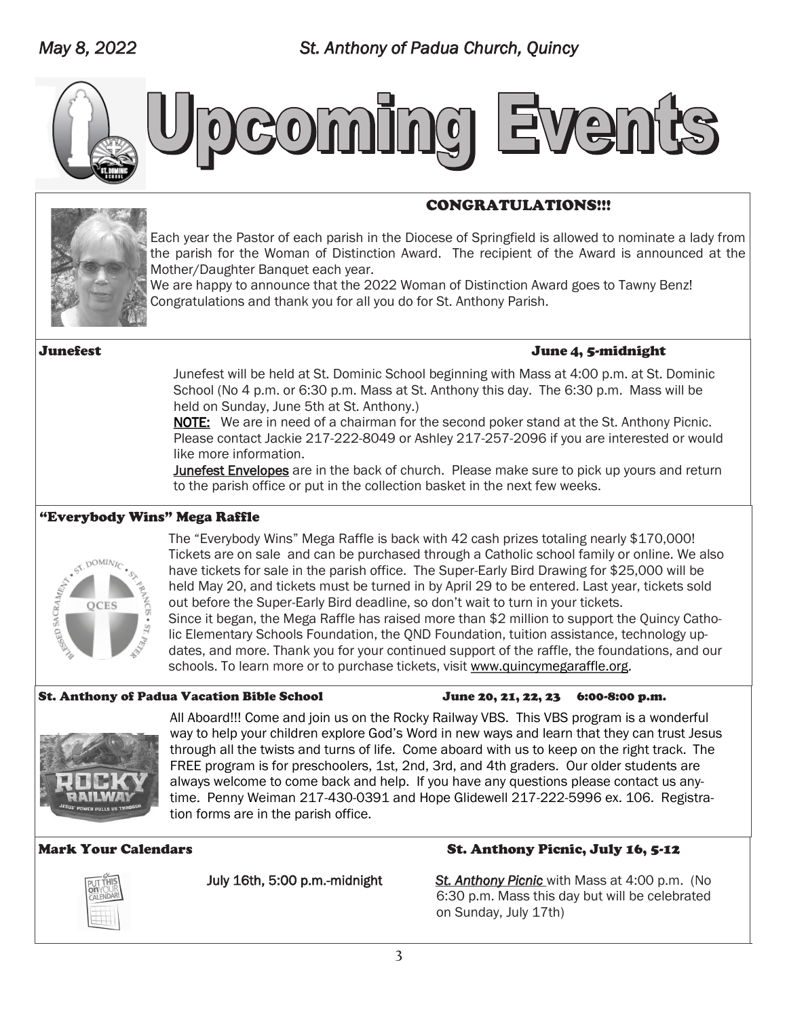

# **Coming Ev** en

### CONGRATULATIONS!!!



Each year the Pastor of each parish in the Diocese of Springfield is allowed to nominate a lady from the parish for the Woman of Distinction Award. The recipient of the Award is announced at the Mother/Daughter Banquet each year.

We are happy to announce that the 2022 Woman of Distinction Award goes to Tawny Benz! Congratulations and thank you for all you do for St. Anthony Parish.

#### Junefest June 4, 5-midnight

Junefest will be held at St. Dominic School beginning with Mass at 4:00 p.m. at St. Dominic School (No 4 p.m. or 6:30 p.m. Mass at St. Anthony this day. The 6:30 p.m. Mass will be held on Sunday, June 5th at St. Anthony.)

NOTE: We are in need of a chairman for the second poker stand at the St. Anthony Picnic. Please contact Jackie 217-222-8049 or Ashley 217-257-2096 if you are interested or would like more information.

Junefest Envelopes are in the back of church. Please make sure to pick up yours and return to the parish office or put in the collection basket in the next few weeks.

#### "Everybody Wins" Mega Raffle



The "Everybody Wins" Mega Raffle is back with 42 cash prizes totaling nearly \$170,000! Tickets are on sale and can be purchased through a Catholic school family or online. We also have tickets for sale in the parish office. The Super-Early Bird Drawing for \$25,000 will be held May 20, and tickets must be turned in by April 29 to be entered. Last year, tickets sold out before the Super-Early Bird deadline, so don't wait to turn in your tickets. Since it began, the Mega Raffle has raised more than \$2 million to support the Quincy Catholic Elementary Schools Foundation, the QND Foundation, tuition assistance, technology updates, and more. Thank you for your continued support of the raffle, the foundations, and our schools. To learn more or to purchase tickets, visit [www.quincymegaraffle.org.](http://www.quincymegaraffle.org)

#### St. Anthony of Padua Vacation Bible School June 20, 21, 22, 23 6:00-8:00 p.m.



All Aboard!!! Come and join us on the Rocky Railway VBS. This VBS program is a wonderful way to help your children explore God's Word in new ways and learn that they can trust Jesus through all the twists and turns of life. Come aboard with us to keep on the right track. The FREE program is for preschoolers, 1st, 2nd, 3rd, and 4th graders. Our older students are always welcome to come back and help. If you have any questions please contact us anytime. Penny Weiman 217-430-0391 and Hope Glidewell 217-222-5996 ex. 106. Registration forms are in the parish office.



#### Mark Your Calendars **St. Anthony Picnic, July 16, 5-12**

July 16th, 5:00 p.m.-midnight *St. Anthony Picnic* with Mass at 4:00 p.m. (No 6:30 p.m. Mass this day but will be celebrated on Sunday, July 17th)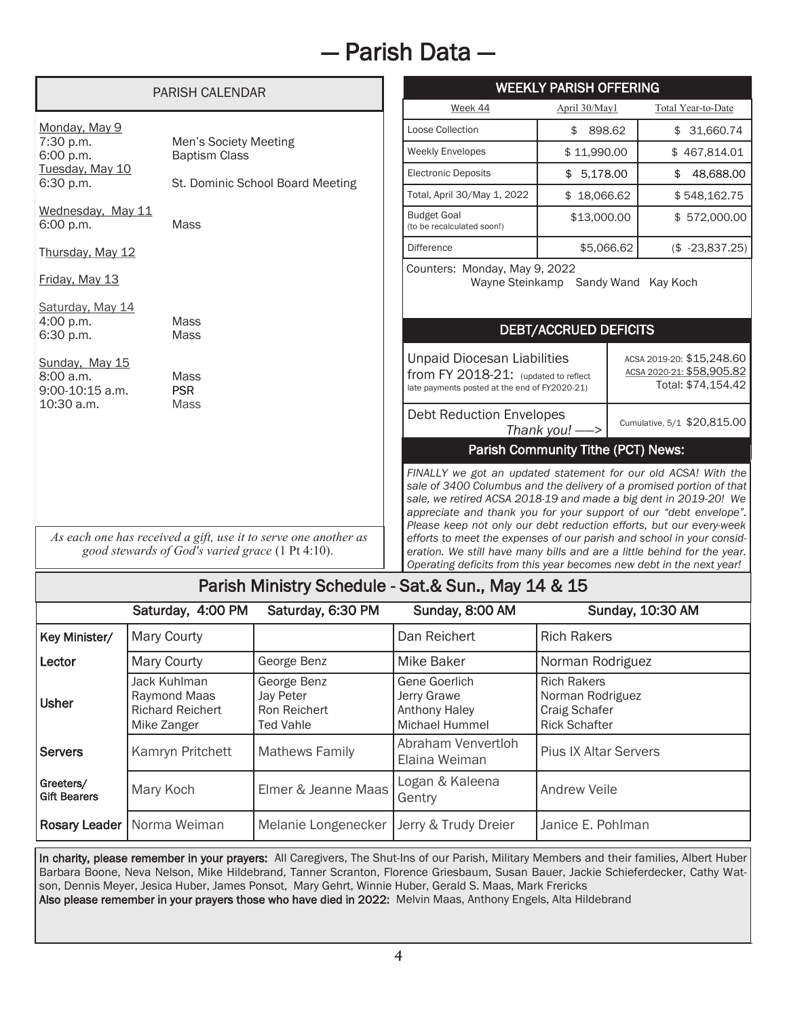# — Parish Data —

| <b>PARISH CALENDAR</b>                                        |                                                                                                                     | <b>WEEKLY PARISH OFFERING</b>                                                                                                                                                                                                                                                                                                                                                                                                                                                                              |                                     |                                                                              |  |
|---------------------------------------------------------------|---------------------------------------------------------------------------------------------------------------------|------------------------------------------------------------------------------------------------------------------------------------------------------------------------------------------------------------------------------------------------------------------------------------------------------------------------------------------------------------------------------------------------------------------------------------------------------------------------------------------------------------|-------------------------------------|------------------------------------------------------------------------------|--|
|                                                               |                                                                                                                     | Week 44                                                                                                                                                                                                                                                                                                                                                                                                                                                                                                    | April 30/May1                       | Total Year-to-Date                                                           |  |
| Monday, May 9                                                 |                                                                                                                     | Loose Collection                                                                                                                                                                                                                                                                                                                                                                                                                                                                                           | \$ 898.62                           | \$31,660.74                                                                  |  |
| 7:30 p.m.<br>6:00 p.m.                                        | Men's Society Meeting<br><b>Baptism Class</b>                                                                       | <b>Weekly Envelopes</b>                                                                                                                                                                                                                                                                                                                                                                                                                                                                                    | \$11,990.00                         | \$467,814.01                                                                 |  |
| Tuesday, May 10<br>6:30 p.m.                                  | St. Dominic School Board Meeting                                                                                    | <b>Electronic Deposits</b>                                                                                                                                                                                                                                                                                                                                                                                                                                                                                 | \$5.178.00                          | 48.688.00<br>\$                                                              |  |
|                                                               |                                                                                                                     | Total, April 30/May 1, 2022                                                                                                                                                                                                                                                                                                                                                                                                                                                                                | \$18,066.62                         | \$548,162.75                                                                 |  |
| Wednesday, May 11<br>6:00 p.m.                                | <b>Mass</b>                                                                                                         | <b>Budget Goal</b><br>(to be recalculated soon!)                                                                                                                                                                                                                                                                                                                                                                                                                                                           | \$13,000.00                         | \$572,000.00                                                                 |  |
| Thursday, May 12                                              |                                                                                                                     | <b>Difference</b>                                                                                                                                                                                                                                                                                                                                                                                                                                                                                          | \$5,066,62                          | $($-23,837.25)$                                                              |  |
| Friday, May 13<br>Saturday, May 14                            |                                                                                                                     | Counters: Monday, May 9, 2022                                                                                                                                                                                                                                                                                                                                                                                                                                                                              | Wayne Steinkamp Sandy Wand Kay Koch |                                                                              |  |
| 4:00 p.m.                                                     | Mass                                                                                                                |                                                                                                                                                                                                                                                                                                                                                                                                                                                                                                            | <b>DEBT/ACCRUED DEFICITS</b>        |                                                                              |  |
| 6:30 p.m.<br>Sunday, May 15<br>8:00 a.m.<br>$9:00-10:15$ a.m. | <b>Mass</b><br>Mass<br><b>PSR</b>                                                                                   | <b>Unpaid Diocesan Liabilities</b><br>from FY 2018-21: (updated to reflect<br>late payments posted at the end of FY2020-21)                                                                                                                                                                                                                                                                                                                                                                                |                                     | ACSA 2019-20: \$15,248.60<br>ACSA 2020-21: \$58,905.82<br>Total: \$74,154.42 |  |
| 10:30 a.m.                                                    | <b>Mass</b>                                                                                                         | <b>Debt Reduction Envelopes</b>                                                                                                                                                                                                                                                                                                                                                                                                                                                                            | Thank you! $\implies$               | Cumulative, 5/1 \$20,815.00                                                  |  |
|                                                               |                                                                                                                     |                                                                                                                                                                                                                                                                                                                                                                                                                                                                                                            | Parish Community Tithe (PCT) News:  |                                                                              |  |
|                                                               | As each one has received a gift, use it to serve one another as<br>good stewards of God's varied grace (1 Pt 4:10). | FINALLY we got an updated statement for our old ACSA! With the<br>sale of 3400 Columbus and the delivery of a promised portion of that<br>sale, we retired ACSA 2018-19 and made a big dent in 2019-20! We<br>appreciate and thank you for your support of our "debt envelope".<br>Please keep not only our debt reduction efforts, but our every-week<br>efforts to meet the expenses of our parish and school in your consid-<br>eration. We still have many bills and are a little behind for the year. |                                     |                                                                              |  |
|                                                               |                                                                                                                     | Operating deficits from this year becomes new debt in the next year!                                                                                                                                                                                                                                                                                                                                                                                                                                       |                                     |                                                                              |  |
| Parish Ministry Schedule - Sat.& Sun., May 14 & 15            |                                                                                                                     |                                                                                                                                                                                                                                                                                                                                                                                                                                                                                                            |                                     |                                                                              |  |

|                                  | Saturday, 4:00 PM                                                      | Saturday, 6:30 PM                                            | Sunday, 8:00 AM                                                        | Sunday, 10:30 AM                                                                |
|----------------------------------|------------------------------------------------------------------------|--------------------------------------------------------------|------------------------------------------------------------------------|---------------------------------------------------------------------------------|
| Key Minister/                    | Mary Courty                                                            |                                                              | Dan Reichert                                                           | <b>Rich Rakers</b>                                                              |
| Lector                           | Mary Courty                                                            | George Benz                                                  | Mike Baker                                                             | Norman Rodriguez                                                                |
| Usher                            | Jack Kuhlman<br>Raymond Maas<br><b>Richard Reichert</b><br>Mike Zanger | George Benz<br>Jay Peter<br>Ron Reichert<br><b>Ted Vahle</b> | Gene Goerlich<br>Jerry Grawe<br><b>Anthony Haley</b><br>Michael Hummel | <b>Rich Rakers</b><br>Norman Rodriguez<br>Craig Schafer<br><b>Rick Schafter</b> |
| <b>Servers</b>                   | Kamryn Pritchett                                                       | <b>Mathews Family</b>                                        | Abraham Venvertloh<br>Elaina Weiman                                    | <b>Pius IX Altar Servers</b>                                                    |
| Greeters/<br><b>Gift Bearers</b> | Mary Koch                                                              | Elmer & Jeanne Maas                                          | Logan & Kaleena<br>Gentry                                              | <b>Andrew Veile</b>                                                             |
|                                  | Rosary Leader   Norma Weiman                                           | Melanie Longenecker                                          | Jerry & Trudy Dreier                                                   | Janice E. Pohlman                                                               |

In charity, please remember in your prayers: All Caregivers, The Shut-Ins of our Parish, Military Members and their families, Albert Huber Barbara Boone, Neva Nelson, Mike Hildebrand, Tanner Scranton, Florence Griesbaum, Susan Bauer, Jackie Schieferdecker, Cathy Watson, Dennis Meyer, Jesica Huber, James Ponsot, Mary Gehrt, Winnie Huber, Gerald S. Maas, Mark Frericks Also please remember in your prayers those who have died in 2022: Melvin Maas, Anthony Engels, Alta Hildebrand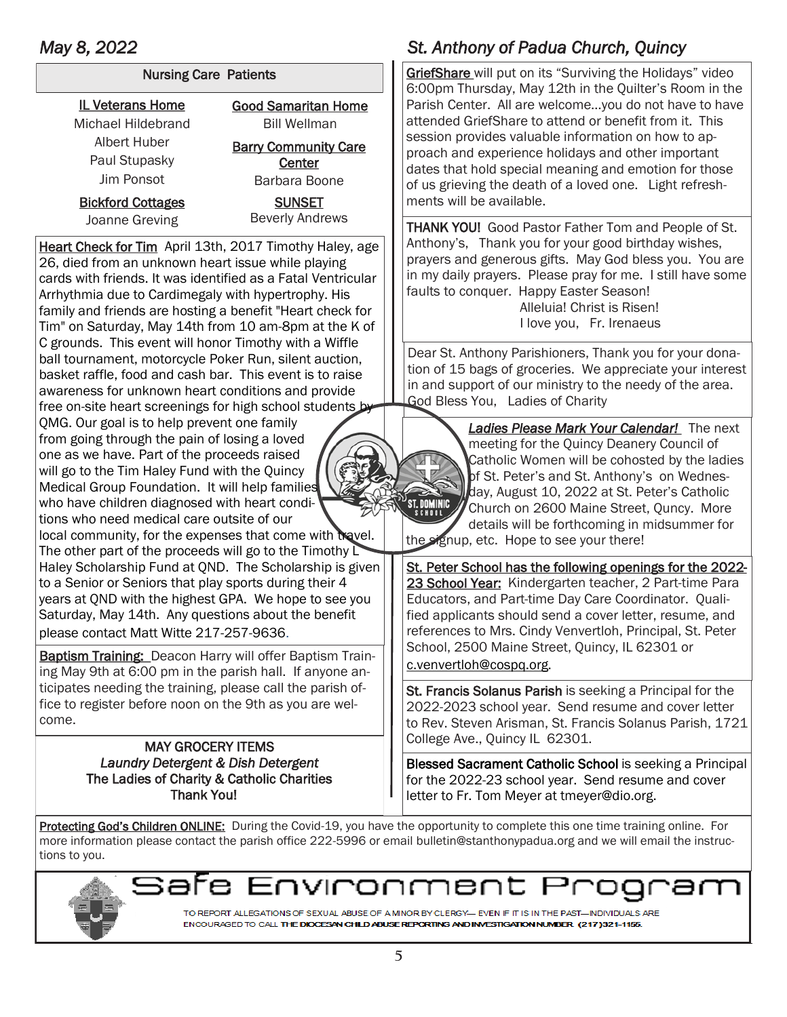| <b>Nursing Care Patients</b> |                             |  |  |  |
|------------------------------|-----------------------------|--|--|--|
| <b>IL Veterans Home</b>      | <b>Good Samaritan Home</b>  |  |  |  |
| Michael Hildebrand           | <b>Bill Wellman</b>         |  |  |  |
| Albert Huber                 | <b>Barry Community Care</b> |  |  |  |
| Paul Stupasky                | Center                      |  |  |  |
| Jim Ponsot                   | Barbara Boone               |  |  |  |
| <b>Bickford Cottages</b>     | <b>SUNSET</b>               |  |  |  |
| Joanne Greving               | <b>Beverly Andrews</b>      |  |  |  |
|                              |                             |  |  |  |

Heart Check for Tim April 13th, 2017 Timothy Haley, age 26, died from an unknown heart issue while playing cards with friends. It was identified as a Fatal Ventricular Arrhythmia due to Cardimegaly with hypertrophy. His family and friends are hosting a benefit "Heart check for Tim" on Saturday, May 14th from 10 am-8pm at the K of C grounds. This event will honor Timothy with a Wiffle ball tournament, motorcycle Poker Run, silent auction, basket raffle, food and cash bar. This event is to raise awareness for unknown heart conditions and provide free on-site heart screenings for high school students by

QMG. Our goal is to help prevent one family from going through the pain of losing a loved one as we have. Part of the proceeds raised will go to the Tim Haley Fund with the Quincy Medical Group Foundation. It will help families who have children diagnosed with heart conditions who need medical care outsite of our

local community, for the expenses that come with travel. The other part of the proceeds will go to the Timothy  $\overline{\mathsf{L}}$ Haley Scholarship Fund at QND. The Scholarship is given to a Senior or Seniors that play sports during their 4 years at QND with the highest GPA. We hope to see you Saturday, May 14th. Any questions about the benefit please contact Matt Witte 217-257-9636.

Baptism Training: Deacon Harry will offer Baptism Training May 9th at 6:00 pm in the parish hall. If anyone anticipates needing the training, please call the parish office to register before noon on the 9th as you are welcome.

#### MAY GROCERY ITEMS *Laundry Detergent & Dish Detergent* The Ladies of Charity & Catholic Charities Thank You!

## *May 8, 2022 St. Anthony of Padua Church, Quincy*

GriefShare will put on its "Surviving the Holidays" video 6:00pm Thursday, May 12th in the Quilter's Room in the Parish Center. All are welcome…you do not have to have attended GriefShare to attend or benefit from it. This session provides valuable information on how to approach and experience holidays and other important dates that hold special meaning and emotion for those of us grieving the death of a loved one. Light refreshments will be available.

THANK YOU! Good Pastor Father Tom and People of St. Anthony's, Thank you for your good birthday wishes, prayers and generous gifts. May God bless you. You are in my daily prayers. Please pray for me. I still have some faults to conquer. Happy Easter Season! Alleluia! Christ is Risen!

I love you, Fr. Irenaeus

Dear St. Anthony Parishioners, Thank you for your donation of 15 bags of groceries. We appreciate your interest in and support of our ministry to the needy of the area. God Bless You, Ladies of Charity

> *Ladies Please Mark Your Calendar!* The next meeting for the Quincy Deanery Council of Catholic Women will be cohosted by the ladies of St. Peter's and St. Anthony's on Wednesday, August 10, 2022 at St. Peter's Catholic Church on 2600 Maine Street, Quncy. More details will be forthcoming in midsummer for

the signup, etc. Hope to see your there!

St. Peter School has the following openings for the 2022- 23 School Year: Kindergarten teacher, 2 Part-time Para Educators, and Part-time Day Care Coordinator. Qualified applicants should send a cover letter, resume, and references to Mrs. Cindy Venvertloh, Principal, St. Peter School, 2500 Maine Street, Quincy, IL 62301 or [c.venvertloh@cospq.org.](mailto:c.venvertloh@cospq.org)

St. Francis Solanus Parish is seeking a Principal for the 2022-2023 school year. Send resume and cover letter to Rev. Steven Arisman, St. Francis Solanus Parish, 1721 College Ave., Quincy IL 62301.

Blessed Sacrament Catholic School is seeking a Principal for the 2022-23 school year. Send resume and cover letter to Fr. Tom Meyer at tmeyer@dio.org.

Protecting God's Children ONLINE: During the Covid-19, you have the opportunity to complete this one time training online. For more information please contact the parish office 222-5996 or email bulletin@stanthonypadua.org and we will email the instructions to you.



חער OГ ərr

TO REPORT ALLEGATIONS OF SEXUAL ABUSE OF A MINOR BY CLERGY— EVEN IF IT IS IN THE PAST—INDIVIDUALS ARE ENCOURAGED TO CALL THE DIOCESAN CHILD ABUSE REPORTING AND INVESTIGATION NUMBER (217)321-1155.

**ST. DOMINIC**